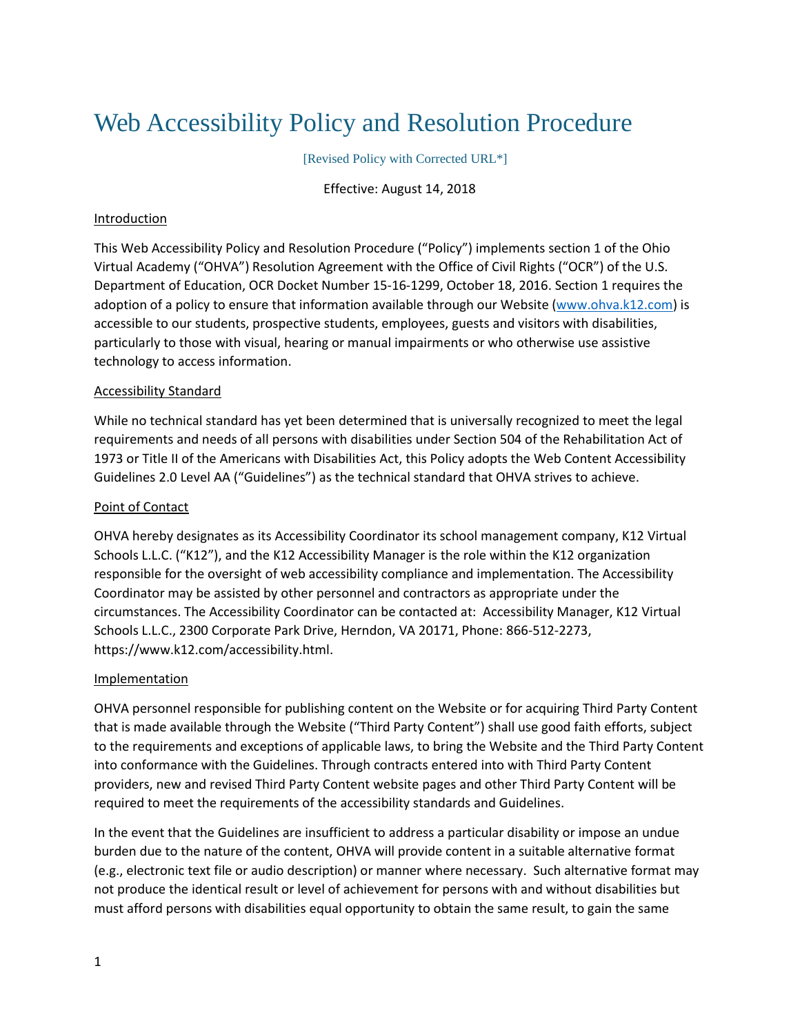# Web Accessibility Policy and Resolution Procedure

[Revised Policy with Corrected URL\*]

Effective: August 14, 2018

## Introduction

This Web Accessibility Policy and Resolution Procedure ("Policy") implements section 1 of the Ohio Virtual Academy ("OHVA") Resolution Agreement with the Office of Civil Rights ("OCR") of the U.S. Department of Education, OCR Docket Number 15-16-1299, October 18, 2016. Section 1 requires the adoption of a policy to ensure that information available through our Website [\(www.ohva.k12.com\)](http://www.ohva.k12.com/) is accessible to our students, prospective students, employees, guests and visitors with disabilities, particularly to those with visual, hearing or manual impairments or who otherwise use assistive technology to access information.

# Accessibility Standard

While no technical standard has yet been determined that is universally recognized to meet the legal requirements and needs of all persons with disabilities under Section 504 of the Rehabilitation Act of 1973 or Title II of the Americans with Disabilities Act, this Policy adopts the Web Content Accessibility Guidelines 2.0 Level AA ("Guidelines") as the technical standard that OHVA strives to achieve.

# Point of Contact

OHVA hereby designates as its Accessibility Coordinator its school management company, K12 Virtual Schools L.L.C. ("K12"), and the K12 Accessibility Manager is the role within the K12 organization responsible for the oversight of web accessibility compliance and implementation. The Accessibility Coordinator may be assisted by other personnel and contractors as appropriate under the circumstances. The Accessibility Coordinator can be contacted at: Accessibility Manager, K12 Virtual Schools L.L.C., 2300 Corporate Park Drive, Herndon, VA 20171, Phone: 866-512-2273, https://www.k12.com/accessibility.html.

## Implementation

OHVA personnel responsible for publishing content on the Website or for acquiring Third Party Content that is made available through the Website ("Third Party Content") shall use good faith efforts, subject to the requirements and exceptions of applicable laws, to bring the Website and the Third Party Content into conformance with the Guidelines. Through contracts entered into with Third Party Content providers, new and revised Third Party Content website pages and other Third Party Content will be required to meet the requirements of the accessibility standards and Guidelines.

In the event that the Guidelines are insufficient to address a particular disability or impose an undue burden due to the nature of the content, OHVA will provide content in a suitable alternative format (e.g., electronic text file or audio description) or manner where necessary. Such alternative format may not produce the identical result or level of achievement for persons with and without disabilities but must afford persons with disabilities equal opportunity to obtain the same result, to gain the same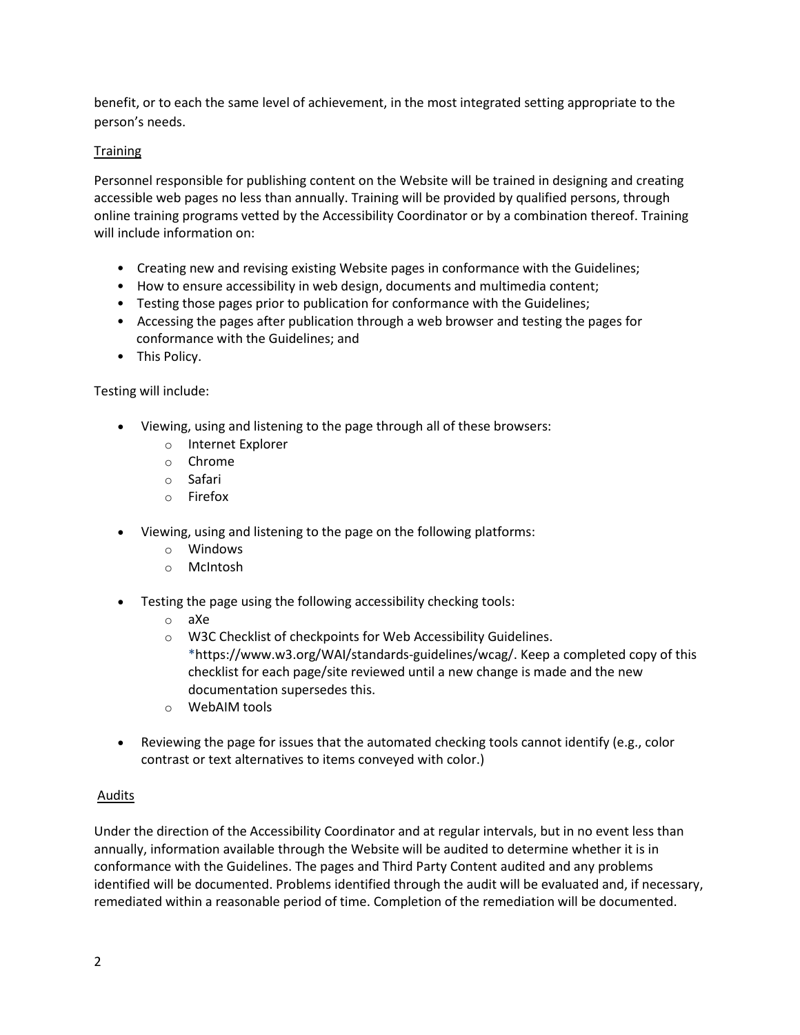benefit, or to each the same level of achievement, in the most integrated setting appropriate to the person's needs.

# **Training**

Personnel responsible for publishing content on the Website will be trained in designing and creating accessible web pages no less than annually. Training will be provided by qualified persons, through online training programs vetted by the Accessibility Coordinator or by a combination thereof. Training will include information on:

- Creating new and revising existing Website pages in conformance with the Guidelines;
- How to ensure accessibility in web design, documents and multimedia content;
- Testing those pages prior to publication for conformance with the Guidelines;
- Accessing the pages after publication through a web browser and testing the pages for conformance with the Guidelines; and
- This Policy.

## Testing will include:

- Viewing, using and listening to the page through all of these browsers:
	- o Internet Explorer
	- o Chrome
	- o Safari
	- o Firefox
- Viewing, using and listening to the page on the following platforms:
	- o Windows
	- o McIntosh
- Testing the page using the following accessibility checking tools:
	- o aXe
	- o W3C Checklist of checkpoints for Web Accessibility Guidelines. \*https://www.w3.org/WAI/standards-guidelines/wcag/. Keep a completed copy of this checklist for each page/site reviewed until a new change is made and the new documentation supersedes this.
	- o WebAIM tools
- Reviewing the page for issues that the automated checking tools cannot identify (e.g., color contrast or text alternatives to items conveyed with color.)

## Audits

Under the direction of the Accessibility Coordinator and at regular intervals, but in no event less than annually, information available through the Website will be audited to determine whether it is in conformance with the Guidelines. The pages and Third Party Content audited and any problems identified will be documented. Problems identified through the audit will be evaluated and, if necessary, remediated within a reasonable period of time. Completion of the remediation will be documented.